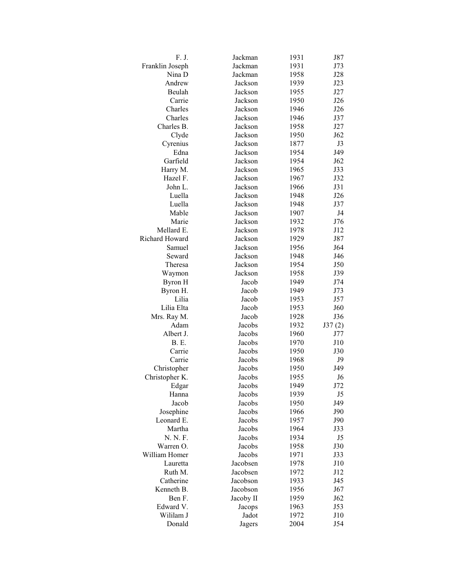| F. J.           | Jackman   | 1931 | J87            |
|-----------------|-----------|------|----------------|
| Franklin Joseph | Jackman   | 1931 | J73            |
| Nina D          | Jackman   | 1958 | J28            |
| Andrew          | Jackson   | 1939 | J23            |
| Beulah          | Jackson   | 1955 | J27            |
| Carrie          | Jackson   | 1950 | J26            |
| Charles         | Jackson   | 1946 | J26            |
| Charles         | Jackson   | 1946 | J37            |
| Charles B.      | Jackson   | 1958 | J27            |
| Clyde           | Jackson   | 1950 | J62            |
| Cyrenius        | Jackson   | 1877 | J3             |
| Edna            | Jackson   | 1954 | J49            |
| Garfield        | Jackson   | 1954 | J62            |
| Harry M.        | Jackson   | 1965 | J33            |
| Hazel F.        | Jackson   | 1967 | J32            |
| John L.         | Jackson   | 1966 | J31            |
| Luella          | Jackson   | 1948 | J26            |
| Luella          | Jackson   | 1948 | J37            |
| Mable           | Jackson   | 1907 | J4             |
| Marie           | Jackson   | 1932 | J76            |
| Mellard E.      | Jackson   | 1978 | J12            |
| Richard Howard  | Jackson   | 1929 | J87            |
| Samuel          | Jackson   | 1956 | J64            |
| Seward          | Jackson   | 1948 | J46            |
| Theresa         | Jackson   | 1954 | J50            |
| Waymon          | Jackson   | 1958 | J39            |
| Byron H         | Jacob     | 1949 | J74            |
| Byron H.        | Jacob     | 1949 | J73            |
| Lilia           | Jacob     | 1953 | J57            |
| Lilia Elta      | Jacob     | 1953 | J60            |
| Mrs. Ray M.     | Jacob     | 1928 | J36            |
| Adam            | Jacobs    | 1932 | J37(2)         |
| Albert J.       | Jacobs    | 1960 | J77            |
| <b>B.</b> E.    | Jacobs    | 1970 | J10            |
| Carrie          | Jacobs    | 1950 | J30            |
| Carrie          | Jacobs    | 1968 | J9             |
| Christopher     | Jacobs    | 1950 | J49            |
| Christopher K.  | Jacobs    | 1955 | J <sub>6</sub> |
| Edgar           | Jacobs    | 1949 | J72            |
| Hanna           | Jacobs    | 1939 | J5             |
| Jacob           | Jacobs    | 1950 | J49            |
| Josephine       | Jacobs    | 1966 | J90            |
| Leonard E.      | Jacobs    | 1957 | J90            |
| Martha          | Jacobs    | 1964 | J33            |
| N. N. F.        | Jacobs    | 1934 | J5             |
| Warren O.       | Jacobs    | 1958 | J30            |
| William Homer   | Jacobs    | 1971 | J33            |
| Lauretta        | Jacobsen  | 1978 | J10            |
| Ruth M.         | Jacobsen  | 1972 | J12            |
| Catherine       | Jacobson  | 1933 | J45            |
| Kenneth B.      | Jacobson  | 1956 | J67            |
| Ben F.          | Jacoby II | 1959 | J62            |
| Edward V.       | Jacops    | 1963 | J53            |
| Wililam J       | Jadot     | 1972 | J10            |
| Donald          | Jagers    | 2004 | J54            |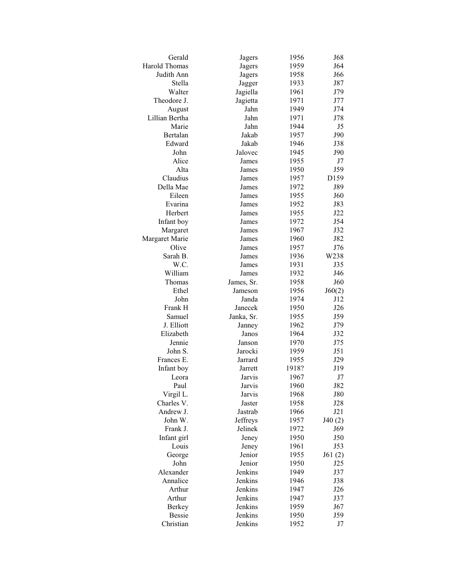| Gerald                  | Jagers     | 1956  | J68               |
|-------------------------|------------|-------|-------------------|
| <b>Harold Thomas</b>    | Jagers     | 1959  | J64               |
| Judith Ann              | Jagers     | 1958  | J66               |
| Stella                  | Jagger     | 1933  | J87               |
| Walter                  | Jagiella   | 1961  | J79               |
| Theodore J.             | Jagietta   | 1971  | J77               |
| August                  | Jahn       | 1949  | J74               |
| Lillian Bertha          | Jahn       | 1971  | J78               |
| Marie                   | Jahn       | 1944  | J5                |
| Bertalan                | Jakab      | 1957  | J90               |
| Edward                  | Jakab      | 1946  | J38               |
| John                    | Jalovec    | 1945  | J90               |
| Alice                   | James      | 1955  | J7                |
| Alta                    | James      | 1950  | J59               |
| Claudius                | James      | 1957  | D159              |
| Della Mae               | James      | 1972  | J89               |
| Eileen                  | James      | 1955  | J60               |
| Evarina                 | James      | 1952  | J83               |
| Herbert                 | James      | 1955  | J22               |
| Infant boy              | James      | 1972  | J54               |
| Margaret                | James      | 1967  | J32               |
| Margaret Marie          | James      | 1960  | J82               |
| Olive                   | James      | 1957  | J76               |
| Sarah B.                | James      | 1936  | W238              |
| W.C.                    | James      | 1931  | J35               |
| William                 | James      | 1932  | J46               |
| Thomas                  | James, Sr. | 1958  | J60               |
| Ethel                   | Jameson    | 1956  | J60(2)            |
| John                    | Janda      | 1974  | J12               |
| Frank H                 | Janecek    | 1950  | J <sub>26</sub>   |
| Samuel                  | Janka, Sr. | 1955  | J59               |
| J. Elliott              | Janney     | 1962  | J79               |
| Elizabeth               | Janos      | 1964  | J32               |
| Jennie                  | Janson     | 1970  | J75               |
| John S.                 | Jarocki    |       | J51               |
| Frances E.              |            | 1959  |                   |
|                         | Jarrard    | 1955  | J29               |
| Infant boy<br>Leora     | Jarrett    | 1918? | J19               |
| Paul                    | Jarvis     | 1967  | J7                |
|                         | Jarvis     | 1960  | J82               |
| Virgil L.<br>Charles V. | Jarvis     | 1968  | <b>J80</b><br>J28 |
|                         | Jaster     | 1958  |                   |
| Andrew J.               | Jastrab    | 1966  | J21               |
| John W.                 | Jeffreys   | 1957  | J40(2)            |
| Frank J.                | Jelinek    | 1972  | J69               |
| Infant girl             | Jeney      | 1950  | J50               |
| Louis                   | Jeney      | 1961  | J53               |
| George                  | Jenior     | 1955  | J61(2)            |
| John                    | Jenior     | 1950  | J25               |
| Alexander               | Jenkins    | 1949  | J37               |
| Annalice                | Jenkins    | 1946  | J38               |
| Arthur                  | Jenkins    | 1947  | J26               |
| Arthur                  | Jenkins    | 1947  | J37               |
| <b>Berkey</b>           | Jenkins    | 1959  | J67               |
| <b>Bessie</b>           | Jenkins    | 1950  | J59               |
| Christian               | Jenkins    | 1952  | J7                |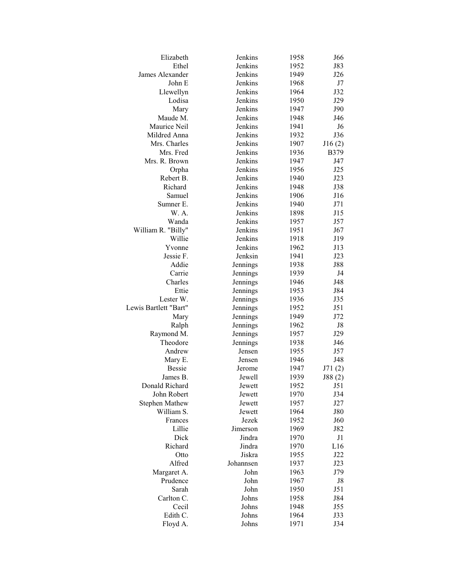| Elizabeth             | Jenkins   | 1958 | J66            |
|-----------------------|-----------|------|----------------|
| Ethel                 | Jenkins   | 1952 | J83            |
| James Alexander       | Jenkins   | 1949 | J26            |
| John E                | Jenkins   | 1968 | J7             |
| Llewellyn             | Jenkins   | 1964 | J32            |
| Lodisa                | Jenkins   | 1950 | J29            |
| Mary                  | Jenkins   | 1947 | J90            |
| Maude M.              | Jenkins   | 1948 | J46            |
| Maurice Neil          | Jenkins   | 1941 | J6             |
| Mildred Anna          | Jenkins   | 1932 | J36            |
| Mrs. Charles          | Jenkins   | 1907 | J16(2)         |
| Mrs. Fred             | Jenkins   | 1936 | <b>B379</b>    |
| Mrs. R. Brown         | Jenkins   | 1947 | J47            |
| Orpha                 | Jenkins   | 1956 | J25            |
| Rebert B.             | Jenkins   | 1940 | J23            |
| Richard               | Jenkins   | 1948 | J38            |
| Samuel                | Jenkins   | 1906 | J16            |
| Sumner E.             | Jenkins   | 1940 | J71            |
| W. A.                 | Jenkins   | 1898 | J15            |
| Wanda                 | Jenkins   | 1957 | J57            |
| William R. "Billy"    | Jenkins   | 1951 | J67            |
| Willie                | Jenkins   | 1918 | J19            |
| Yvonne                | Jenkins   | 1962 | J13            |
| Jessie F.             | Jenksin   | 1941 | J23            |
| Addie                 | Jennings  | 1938 | <b>J88</b>     |
| Carrie                | Jennings  | 1939 | J4             |
| Charles               | Jennings  | 1946 | J48            |
| Ettie                 | Jennings  | 1953 | J84            |
| Lester W.             | Jennings  | 1936 | J35            |
| Lewis Bartlett "Bart" | Jennings  | 1952 | J51            |
| Mary                  | Jennings  | 1949 | J72            |
| Ralph                 | Jennings  | 1962 | J8             |
| Raymond M.            | Jennings  | 1957 | J29            |
| Theodore              | Jennings  | 1938 | J46            |
| Andrew                | Jensen    | 1955 | J57            |
| Mary E.               | Jensen    | 1946 | J48            |
| <b>Bessie</b>         | Jerome    | 1947 | J71(2)         |
| James B.              | Jewell    | 1939 | J88(2)         |
| Donald Richard        | Jewett    | 1952 | J51            |
| John Robert           | Jewett    | 1970 | J34            |
| <b>Stephen Mathew</b> | Jewett    | 1957 | J27            |
| William S.            | Jewett    | 1964 | <b>J80</b>     |
| Frances               | Jezek     | 1952 | J60            |
| Lillie                | Jimerson  | 1969 | J82            |
| Dick                  | Jindra    | 1970 | J <sub>1</sub> |
| Richard               | Jindra    | 1970 | L16            |
| Otto                  | Jiskra    | 1955 | J22            |
| Alfred                | Johannsen | 1937 | J23            |
| Margaret A.           | John      | 1963 | J79            |
| Prudence              | John      | 1967 | J8             |
| Sarah                 | John      | 1950 | J51            |
| Carlton C.            | Johns     | 1958 | J84            |
| Cecil                 | Johns     | 1948 | J55            |
| Edith C.              | Johns     | 1964 | J33            |
| Floyd A.              | Johns     | 1971 | J34            |
|                       |           |      |                |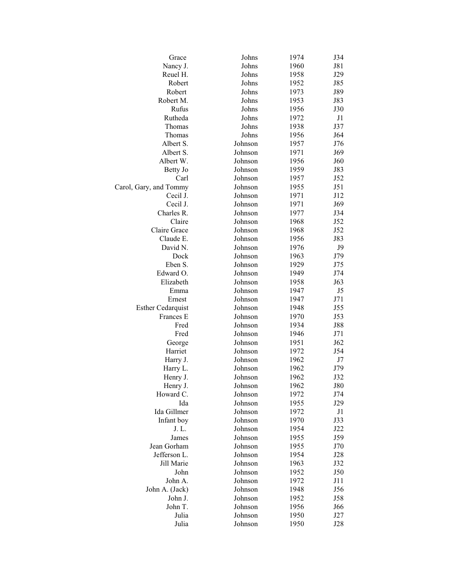| Grace                    | Johns   | 1974 | J34        |
|--------------------------|---------|------|------------|
| Nancy J.                 | Johns   | 1960 | J81        |
| Reuel H.                 | Johns   | 1958 | J29        |
| Robert                   | Johns   | 1952 | J85        |
| Robert                   | Johns   | 1973 | J89        |
| Robert M.                | Johns   | 1953 | J83        |
| Rufus                    | Johns   | 1956 | J30        |
| Rutheda                  | Johns   | 1972 | J1         |
| Thomas                   | Johns   | 1938 | J37        |
| Thomas                   | Johns   | 1956 | J64        |
| Albert S.                | Johnson | 1957 | J76        |
| Albert S.                | Johnson | 1971 | J69        |
| Albert W.                | Johnson | 1956 | J60        |
| Betty Jo                 | Johnson | 1959 | J83        |
| Carl                     | Johnson | 1957 | J52        |
| Carol, Gary, and Tommy   | Johnson | 1955 | J51        |
| Cecil J.                 | Johnson | 1971 | J12        |
| Cecil J.                 | Johnson | 1971 | J69        |
| Charles R.               | Johnson | 1977 | J34        |
| Claire                   | Johnson | 1968 | J52        |
| Claire Grace             | Johnson | 1968 | J52        |
| Claude E.                | Johnson | 1956 | J83        |
| David N.                 | Johnson | 1976 | J9         |
| Dock                     | Johnson | 1963 | J79        |
|                          |         |      |            |
| Eben S.                  | Johnson | 1929 | J75        |
| Edward O.<br>Elizabeth   | Johnson | 1949 | J74        |
|                          | Johnson | 1958 | J63        |
| Emma                     | Johnson | 1947 | J5         |
| Ernest                   | Johnson | 1947 | J71        |
| <b>Esther Cedarquist</b> | Johnson | 1948 | J55        |
| Frances E                | Johnson | 1970 | J53        |
| Fred                     | Johnson | 1934 | <b>J88</b> |
| Fred                     | Johnson | 1946 | J71        |
| George                   | Johnson | 1951 | J62        |
| Harriet                  | Johnson | 1972 | J54        |
| Harry J.                 | Johnson | 1962 | J7         |
| Harry L.                 | Johnson | 1962 | J79        |
| Henry J.                 | Johnson | 1962 | J32        |
| Henry J.                 | Johnson | 1962 | <b>J80</b> |
| Howard C.                | Johnson | 1972 | J74        |
| Ida                      | Johnson | 1955 | J29        |
| Ida Gillmer              | Johnson | 1972 | J1         |
| Infant boy               | Johnson | 1970 | J33        |
| J. L.                    | Johnson | 1954 | J22        |
| James                    | Johnson | 1955 | J59        |
| Jean Gorham              | Johnson | 1955 | J70        |
| Jefferson L.             | Johnson | 1954 | J28        |
| Jill Marie               | Johnson | 1963 | J32        |
| John                     | Johnson | 1952 | J50        |
| John A.                  | Johnson | 1972 | J11        |
| John A. (Jack)           | Johnson | 1948 | J56        |
| John J.                  | Johnson | 1952 | J58        |
| John T.                  | Johnson | 1956 | J66        |
| Julia                    | Johnson | 1950 | J27        |
| Julia                    | Johnson | 1950 | J28        |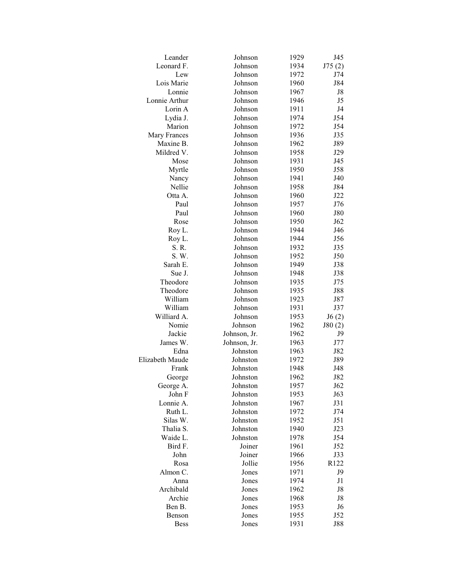| Leander               | Johnson              | 1929         | J45            |
|-----------------------|----------------------|--------------|----------------|
| Leonard F.            | Johnson              | 1934         | J75(2)         |
| Lew                   | Johnson              | 1972         | J74            |
| Lois Marie            | Johnson              | 1960         | J84            |
| Lonnie                | Johnson              | 1967         | J8             |
| Lonnie Arthur         | Johnson              | 1946         | J5             |
| Lorin A               | Johnson              | 1911         | J4             |
| Lydia J.              | Johnson              | 1974         | J54            |
| Marion                | Johnson              | 1972         | J54            |
| Mary Frances          | Johnson              | 1936         | J35            |
| Maxine B.             | Johnson              | 1962         | J89            |
| Mildred V.            | Johnson              | 1958         | J29            |
| Mose                  | Johnson              | 1931         | J45            |
| Myrtle                | Johnson              | 1950         | J58            |
| Nancy                 | Johnson              | 1941         | J40            |
| Nellie                | Johnson              | 1958         | J84            |
| Otta A.               | Johnson              | 1960         | J22            |
| Paul                  | Johnson              | 1957         | J76            |
| Paul                  | Johnson              | 1960         | <b>J80</b>     |
| Rose                  | Johnson              | 1950         | J62            |
| Roy L.                | Johnson              | 1944         | J46            |
| Roy L.                | Johnson              | 1944         | J56            |
| S. R.                 | Johnson              | 1932         | J35            |
| S. W.                 | Johnson              | 1952         | J50            |
| Sarah E.              | Johnson              | 1949         | J38            |
| Sue J.                | Johnson              | 1948         | J38            |
| Theodore              | Johnson              | 1935         | J75            |
| Theodore              | Johnson              | 1935         | <b>J88</b>     |
| William               | Johnson              | 1923         | J87            |
| William               | Johnson              | 1931         | J37            |
| Williard A.           | Johnson              | 1953         | J6(2)          |
| Nomie                 | Johnson              | 1962         | J80(2)         |
| Jackie                | Johnson, Jr.         | 1962         | J9             |
| James W.              | Johnson, Jr.         | 1963         | J77            |
| Edna                  | Johnston             | 1963         | J82            |
| Elizabeth Maude       | Johnston             | 1972         | J89            |
| Frank                 | Johnston             | 1948         | J48            |
| George                | Johnston             | 1962         | J82            |
|                       | Johnston             | 1957         |                |
| George A.<br>John F   | Johnston             | 1953         | J62<br>J63     |
| Lonnie A.             |                      |              | J31            |
|                       | Johnston             | 1967         |                |
| Ruth L.<br>Silas W.   | Johnston             | 1972         | J74            |
|                       | Johnston             | 1952<br>1940 | J51            |
| Thalia S.<br>Waide L. | Johnston<br>Johnston |              | J23            |
| Bird F.               |                      | 1978         | J54            |
|                       | Joiner               | 1961         | J52            |
| John                  | Joiner               | 1966         | J33            |
| Rosa                  | Jollie               | 1956         | R122           |
| Almon C.              | Jones                | 1971         | J9             |
| Anna                  | Jones                | 1974         | J1             |
| Archibald             | Jones                | 1962         | J8             |
| Archie                | Jones                | 1968         | J8             |
| Ben B.                | Jones                | 1953         | J <sub>6</sub> |
| Benson                | Jones                | 1955         | J52            |
| <b>Bess</b>           | Jones                | 1931         | J88            |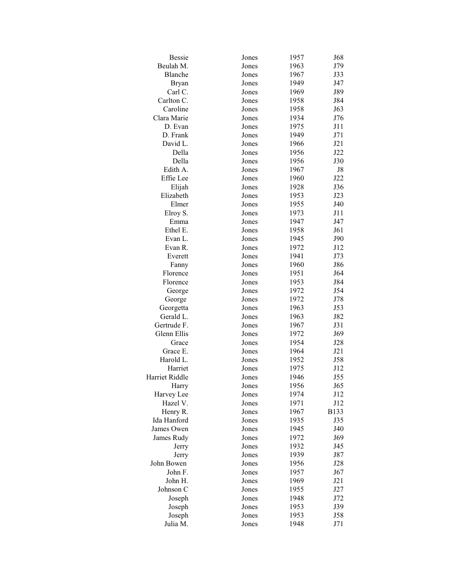| <b>Bessie</b>  | Jones | 1957 | J68         |
|----------------|-------|------|-------------|
| Beulah M.      | Jones | 1963 | J79         |
| Blanche        | Jones | 1967 | J33         |
| <b>Bryan</b>   | Jones | 1949 | J47         |
| Carl C.        | Jones | 1969 | J89         |
| Carlton C.     | Jones | 1958 | J84         |
| Caroline       | Jones | 1958 | J63         |
| Clara Marie    | Jones | 1934 | J76         |
| D. Evan        | Jones | 1975 | J11         |
| D. Frank       | Jones | 1949 | J71         |
| David L.       | Jones | 1966 | J21         |
| Della          | Jones | 1956 | J22         |
| Della          | Jones | 1956 | J30         |
| Edith A.       | Jones |      | J8          |
| Effie Lee      |       | 1967 |             |
|                | Jones | 1960 | J22         |
| Elijah         | Jones | 1928 | J36         |
| Elizabeth      | Jones | 1953 | J23         |
| Elmer          | Jones | 1955 | J40         |
| Elroy S.       | Jones | 1973 | J11         |
| Emma           | Jones | 1947 | J47         |
| Ethel E.       | Jones | 1958 | J61         |
| Evan L.        | Jones | 1945 | J90         |
| Evan R.        | Jones | 1972 | J12         |
| Everett        | Jones | 1941 | J73         |
| Fanny          | Jones | 1960 | J86         |
| Florence       | Jones | 1951 | J64         |
| Florence       | Jones | 1953 | J84         |
| George         | Jones | 1972 | J54         |
| George         | Jones | 1972 | J78         |
| Georgetta      | Jones | 1963 | J53         |
| Gerald L.      | Jones | 1963 | J82         |
| Gertrude F.    | Jones | 1967 | J31         |
| Glenn Ellis    | Jones | 1972 | J69         |
| Grace          | Jones | 1954 | J28         |
| Grace E.       | Jones | 1964 | J21         |
| Harold L.      | Jones | 1952 | J58         |
| Harriet        | Jones | 1975 | J12         |
| Harriet Riddle | Jones | 1946 | J55         |
|                |       | 1956 | J65         |
| Harry          | Jones |      |             |
| Harvey Lee     | Jones | 1974 | J12         |
| Hazel V.       | Jones | 1971 | J12         |
| Henry R.       | Jones | 1967 | <b>B133</b> |
| Ida Hanford    | Jones | 1935 | J35         |
| James Owen     | Jones | 1945 | J40         |
| James Rudy     | Jones | 1972 | J69         |
| Jerry          | Jones | 1932 | J45         |
| Jerry          | Jones | 1939 | J87         |
| John Bowen     | Jones | 1956 | J28         |
| John F.        | Jones | 1957 | J67         |
| John H.        | Jones | 1969 | J21         |
| Johnson C      | Jones | 1955 | J27         |
| Joseph         | Jones | 1948 | J72         |
| Joseph         | Jones | 1953 | J39         |
| Joseph         | Jones | 1953 | J58         |
| Julia M.       | Jones | 1948 | J71         |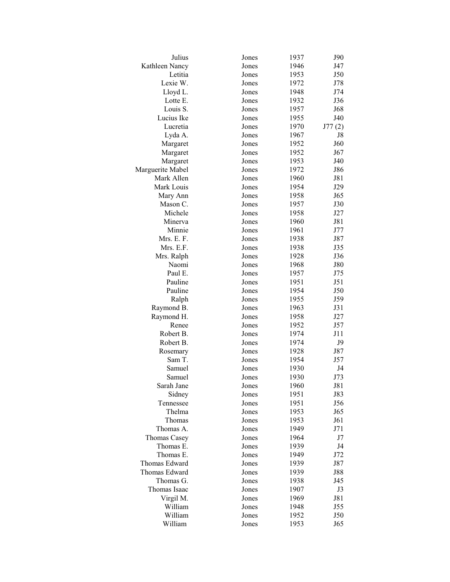| Julius           | Jones | 1937 | J90        |
|------------------|-------|------|------------|
| Kathleen Nancy   | Jones | 1946 | J47        |
| Letitia          | Jones | 1953 | J50        |
| Lexie W.         | Jones | 1972 | J78        |
| Lloyd L.         | Jones | 1948 | J74        |
| Lotte E.         | Jones | 1932 | J36        |
| Louis S.         | Jones | 1957 | J68        |
| Lucius Ike       | Jones | 1955 | J40        |
| Lucretia         | Jones | 1970 | J77(2)     |
| Lyda A.          | Jones | 1967 | J8         |
| Margaret         | Jones | 1952 | J60        |
| Margaret         | Jones | 1952 | J67        |
| Margaret         | Jones | 1953 | J40        |
| Marguerite Mabel | Jones | 1972 | J86        |
| Mark Allen       | Jones | 1960 | J81        |
| Mark Louis       | Jones | 1954 | J29        |
| Mary Ann         | Jones | 1958 | J65        |
| Mason C.         | Jones | 1957 | J30        |
| Michele          | Jones | 1958 | J27        |
| Minerva          | Jones | 1960 | J81        |
| Minnie           | Jones | 1961 | J77        |
| Mrs. E. F.       | Jones | 1938 | J87        |
| Mrs. E.F.        | Jones | 1938 | J35        |
| Mrs. Ralph       | Jones | 1928 | J36        |
| Naomi            | Jones | 1968 | <b>J80</b> |
| Paul E.          | Jones | 1957 | J75        |
| Pauline          | Jones | 1951 | J51        |
| Pauline          | Jones | 1954 | J50        |
| Ralph            | Jones | 1955 | J59        |
| Raymond B.       | Jones | 1963 | J31        |
| Raymond H.       | Jones | 1958 | J27        |
| Renee            | Jones | 1952 | J57        |
| Robert B.        | Jones | 1974 | J11        |
| Robert B.        | Jones | 1974 | J9         |
| Rosemary         | Jones | 1928 | J87        |
| Sam T.           | Jones | 1954 | J57        |
| Samuel           | Jones | 1930 | J4         |
| Samuel           | Jones | 1930 | J73        |
| Sarah Jane       | Jones | 1960 | J81        |
| Sidney           | Jones | 1951 | J83        |
| Tennessee        | Jones | 1951 | J56        |
| Thelma           | Jones | 1953 | J65        |
| Thomas           | Jones | 1953 | J61        |
| Thomas A.        | Jones | 1949 | J71        |
| Thomas Casey     | Jones | 1964 | J7         |
| Thomas E.        | Jones | 1939 | J4         |
| Thomas E.        | Jones | 1949 | J72        |
| Thomas Edward    | Jones | 1939 | J87        |
| Thomas Edward    | Jones | 1939 | <b>J88</b> |
| Thomas G.        | Jones | 1938 | J45        |
| Thomas Isaac     | Jones | 1907 | J3         |
| Virgil M.        | Jones | 1969 | J81        |
| William          | Jones | 1948 | J55        |
| William          | Jones | 1952 | J50        |
| William          | Jones | 1953 | J65        |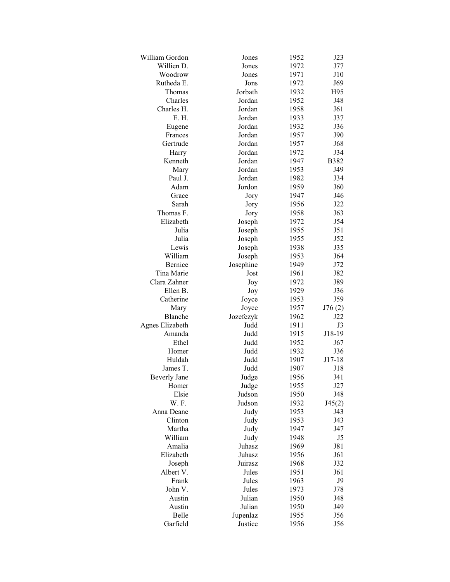| William Gordon      | Jones     | 1952 | J23         |
|---------------------|-----------|------|-------------|
| Willien D.          | Jones     | 1972 | J77         |
| Woodrow             | Jones     | 1971 | J10         |
| Rutheda E.          | Jons      | 1972 | J69         |
| Thomas              | Jorbath   | 1932 | H95         |
| Charles             | Jordan    | 1952 | J48         |
| Charles H.          | Jordan    | 1958 | J61         |
| E. H.               | Jordan    | 1933 | J37         |
| Eugene              | Jordan    | 1932 | J36         |
| Frances             | Jordan    | 1957 | J90         |
| Gertrude            | Jordan    | 1957 | J68         |
| Harry               | Jordan    | 1972 | J34         |
| Kenneth             | Jordan    | 1947 | <b>B382</b> |
| Mary                | Jordan    | 1953 | J49         |
| Paul J.             | Jordan    | 1982 | J34         |
| Adam                | Jordon    | 1959 | J60         |
| Grace               | Jory      | 1947 | J46         |
| Sarah               | Jory      | 1956 | J22         |
| Thomas F.           | Jory      | 1958 | J63         |
| Elizabeth           | Joseph    | 1972 | J54         |
| Julia               | Joseph    | 1955 | J51         |
| Julia               | Joseph    | 1955 | J52         |
| Lewis               | Joseph    | 1938 | J35         |
| William             | Joseph    | 1953 | J64         |
| Bernice             | Josephine | 1949 | J72         |
| Tina Marie          | Jost      | 1961 | J82         |
| Clara Zahner        | Joy       | 1972 | J89         |
| Ellen B.            | Joy       | 1929 | J36         |
| Catherine           | Joyce     | 1953 | J59         |
| Mary                | Joyce     | 1957 | J76(2)      |
| Blanche             | Jozefczyk | 1962 | J22         |
| Agnes Elizabeth     | Judd      | 1911 | J3          |
| Amanda              | Judd      | 1915 | J18-19      |
| Ethel               | Judd      | 1952 | J67         |
| Homer               | Judd      | 1932 | J36         |
| Huldah              | Judd      | 1907 | J17-18      |
| James T.            | Judd      | 1907 | J18         |
| <b>Beverly Jane</b> | Judge     | 1956 | J41         |
| Homer               | Judge     | 1955 | J27         |
| Elsie               | Judson    | 1950 | J48         |
| W.F.                | Judson    | 1932 | J45(2)      |
| Anna Deane          | Judy      | 1953 | J43         |
| Clinton             | Judy      | 1953 | J43         |
| Martha              | Judy      | 1947 | J47         |
| William             | Judy      | 1948 | J5          |
| Amalia              | Juhasz    | 1969 | J81         |
| Elizabeth           | Juhasz    | 1956 | J61         |
| Joseph              | Juirasz   | 1968 | J32         |
| Albert V.           | Jules     | 1951 | J61         |
| Frank               | Jules     | 1963 | J9          |
| John V.             | Jules     | 1973 | J78         |
| Austin              | Julian    | 1950 | J48         |
| Austin              | Julian    | 1950 | J49         |
| Belle               | Jupenlaz  | 1955 | J56         |
| Garfield            | Justice   | 1956 | J56         |